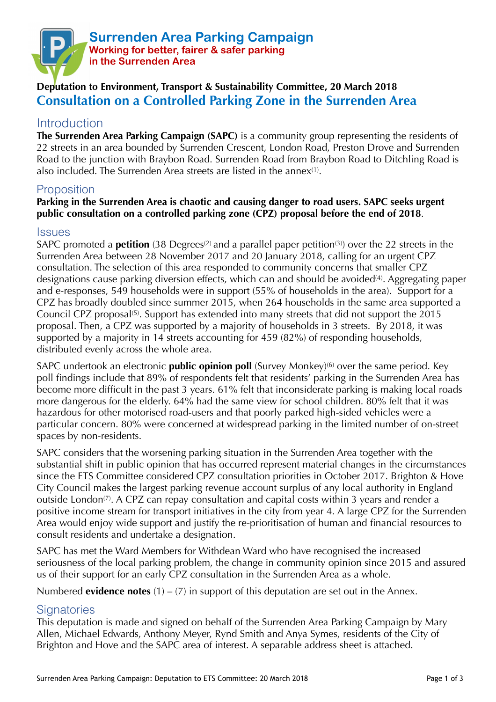

# **Deputation to Environment, Transport & Sustainability Committee, 20 March 2018 Consultation on a Controlled Parking Zone in the Surrenden Area**

## **Introduction**

**The Surrenden Area Parking Campaign (SAPC)** is a community group representing the residents of 22 streets in an area bounded by Surrenden Crescent, London Road, Preston Drove and Surrenden Road to the junction with Braybon Road. Surrenden Road from Braybon Road to Ditchling Road is also included. The Surrenden Area streets are listed in the annex(1).

## **Proposition**

### **Parking in the Surrenden Area is chaotic and causing danger to road users. SAPC seeks urgent public consultation on a controlled parking zone (CPZ) proposal before the end of 2018**.

#### **Issues**

SAPC promoted a **petition** (38 Degrees<sup>(2)</sup> and a parallel paper petition<sup>(3)</sup>) over the 22 streets in the Surrenden Area between 28 November 2017 and 20 January 2018, calling for an urgent CPZ consultation. The selection of this area responded to community concerns that smaller CPZ designations cause parking diversion effects, which can and should be avoided(4). Aggregating paper and e-responses, 549 households were in support (55% of households in the area). Support for a CPZ has broadly doubled since summer 2015, when 264 households in the same area supported a Council CPZ proposal(5). Support has extended into many streets that did not support the 2015 proposal. Then, a CPZ was supported by a majority of households in 3 streets. By 2018, it was supported by a majority in 14 streets accounting for 459 (82%) of responding households, distributed evenly across the whole area.

SAPC undertook an electronic **public opinion poll** (Survey Monkey)<sup>(6)</sup> over the same period. Key poll findings include that 89% of respondents felt that residents' parking in the Surrenden Area has become more difficult in the past 3 years. 61% felt that inconsiderate parking is making local roads more dangerous for the elderly. 64% had the same view for school children. 80% felt that it was hazardous for other motorised road-users and that poorly parked high-sided vehicles were a particular concern. 80% were concerned at widespread parking in the limited number of on-street spaces by non-residents.

SAPC considers that the worsening parking situation in the Surrenden Area together with the substantial shift in public opinion that has occurred represent material changes in the circumstances since the ETS Committee considered CPZ consultation priorities in October 2017. Brighton & Hove City Council makes the largest parking revenue account surplus of any local authority in England outside London<sup>(7)</sup>. A CPZ can repay consultation and capital costs within 3 years and render a positive income stream for transport initiatives in the city from year 4. A large CPZ for the Surrenden Area would enjoy wide support and justify the re-prioritisation of human and financial resources to consult residents and undertake a designation.

SAPC has met the Ward Members for Withdean Ward who have recognised the increased seriousness of the local parking problem, the change in community opinion since 2015 and assured us of their support for an early CPZ consultation in the Surrenden Area as a whole.

Numbered **evidence notes**  $(1) - (7)$  in support of this deputation are set out in the Annex.

### **Signatories**

This deputation is made and signed on behalf of the Surrenden Area Parking Campaign by Mary Allen, Michael Edwards, Anthony Meyer, Rynd Smith and Anya Symes, residents of the City of Brighton and Hove and the SAPC area of interest. A separable address sheet is attached.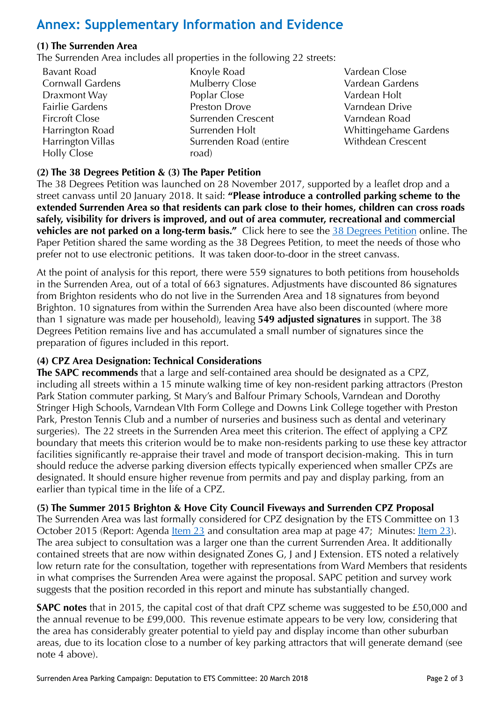# **Annex: Supplementary Information and Evidence**

### **(1) The Surrenden Area**

The Surrenden Area includes all properties in the following 22 streets:

- Bavant Road Cornwall Gardens Draxmont Way Fairlie Gardens Fircroft Close Harrington Road Harrington Villas Holly Close
- Knoyle Road Mulberry Close Poplar Close Preston Drove Surrenden Crescent Surrenden Holt Surrenden Road (entire road)
- Vardean Close Vardean Gardens Vardean Holt Varndean Drive Varndean Road Whittingehame Gardens Withdean Crescent

### **(2) The 38 Degrees Petition & (3) The Paper Petition**

The 38 Degrees Petition was launched on 28 November 2017, supported by a leaflet drop and a street canvass until 20 January 2018. It said: **"Please introduce a controlled parking scheme to the extended Surrenden Area so that residents can park close to their homes, children can cross roads safely, visibility for drivers is improved, and out of area commuter, recreational and commercial vehicles are not parked on a long-term basis."** Click here to see the [38 Degrees Petition](https://you.38degrees.org.uk/petitions/surrenden-area-parking-campaign) online. The Paper Petition shared the same wording as the 38 Degrees Petition, to meet the needs of those who prefer not to use electronic petitions. It was taken door-to-door in the street canvass.

At the point of analysis for this report, there were 559 signatures to both petitions from households in the Surrenden Area, out of a total of 663 signatures. Adjustments have discounted 86 signatures from Brighton residents who do not live in the Surrenden Area and 18 signatures from beyond Brighton. 10 signatures from within the Surrenden Area have also been discounted (where more than 1 signature was made per household), leaving **549 adjusted signatures** in support. The 38 Degrees Petition remains live and has accumulated a small number of signatures since the preparation of figures included in this report.

### **(4) CPZ Area Designation: Technical Considerations**

**The SAPC recommends** that a large and self-contained area should be designated as a CPZ, including all streets within a 15 minute walking time of key non-resident parking attractors (Preston Park Station commuter parking, St Mary's and Balfour Primary Schools, Varndean and Dorothy Stringer High Schools, Varndean VIth Form College and Downs Link College together with Preston Park, Preston Tennis Club and a number of nurseries and business such as dental and veterinary surgeries). The 22 streets in the Surrenden Area meet this criterion. The effect of applying a CPZ boundary that meets this criterion would be to make non-residents parking to use these key attractor facilities significantly re-appraise their travel and mode of transport decision-making. This in turn should reduce the adverse parking diversion effects typically experienced when smaller CPZs are designated. It should ensure higher revenue from permits and pay and display parking, from an earlier than typical time in the life of a CPZ.

**(5) The Summer 2015 Brighton & Hove City Council Fiveways and Surrenden CPZ Proposal** 

The Surrenden Area was last formally considered for CPZ designation by the ETS Committee on 13 October 2015 (Report: Agenda <u>Item 23</u> and consultation area map at page 47; Minutes: <u>Item 23</u>). The area subject to consultation was a larger one than the current Surrenden Area. It additionally contained streets that are now within designated Zones G, J and J Extension. ETS noted a relatively low return rate for the consultation, together with representations from Ward Members that residents in what comprises the Surrenden Area were against the proposal. SAPC petition and survey work suggests that the position recorded in this report and minute has substantially changed.

**SAPC notes** that in 2015, the capital cost of that draft CPZ scheme was suggested to be £50,000 and the annual revenue to be £99,000. This revenue estimate appears to be very low, considering that the area has considerably greater potential to yield pay and display income than other suburban areas, due to its location close to a number of key parking attractors that will generate demand (see note 4 above).